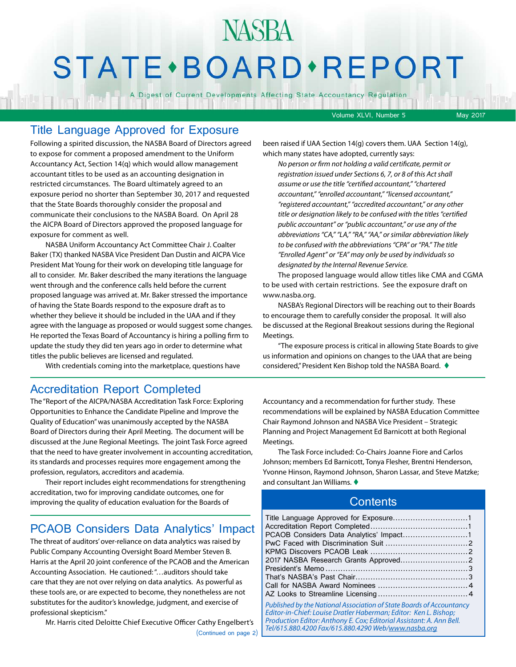# STATE · BOARD · REPORT

A Digest of Current Developments Affecting State Accountancy Regulation

Volume XLVI, Number 5 May 2017

#### Title Language Approved for Exposure

Following a spirited discussion, the NASBA Board of Directors agreed to expose for comment a proposed amendment to the Uniform Accountancy Act, Section 14(q) which would allow management accountant titles to be used as an accounting designation in restricted circumstances. The Board ultimately agreed to an exposure period no shorter than September 30, 2017 and requested that the State Boards thoroughly consider the proposal and communicate their conclusions to the NASBA Board. On April 28 the AICPA Board of Directors approved the proposed language for exposure for comment as well.

NASBA Uniform Accountancy Act Committee Chair J. Coalter Baker (TX) thanked NASBA Vice President Dan Dustin and AICPA Vice President Mat Young for their work on developing title language for all to consider. Mr. Baker described the many iterations the language went through and the conference calls held before the current proposed language was arrived at. Mr. Baker stressed the importance of having the State Boards respond to the exposure draft as to whether they believe it should be included in the UAA and if they agree with the language as proposed or would suggest some changes. He reported the Texas Board of Accountancy is hiring a polling firm to update the study they did ten years ago in order to determine what titles the public believes are licensed and regulated.

With credentials coming into the marketplace, questions have

#### Accreditation Report Completed

The "Report of the AICPA/NASBA Accreditation Task Force: Exploring Opportunities to Enhance the Candidate Pipeline and Improve the Quality of Education" was unanimously accepted by the NASBA Board of Directors during their April Meeting. The document will be discussed at the June Regional Meetings. The joint Task Force agreed that the need to have greater involvement in accounting accreditation, its standards and processes requires more engagement among the profession, regulators, accreditors and academia.

Their report includes eight recommendations for strengthening accreditation, two for improving candidate outcomes, one for improving the quality of education evaluation for the Boards of

#### PCAOB Considers Data Analytics' Impact

The threat of auditors' over-reliance on data analytics was raised by Public Company Accounting Oversight Board Member Steven B. Harris at the April 20 joint conference of the PCAOB and the American Accounting Association. He cautioned: "…auditors should take care that they are not over relying on data analytics. As powerful as these tools are, or are expected to become, they nonetheless are not substitutes for the auditor's knowledge, judgment, and exercise of professional skepticism."

Mr. Harris cited Deloitte Chief Executive Officer Cathy Engelbert's

(Continued on page 2)

been raised if UAA Section 14(g) covers them. UAA Section 14(g), which many states have adopted, currently says:

*No person or firm not holding a valid certificate, permit or registration issued under Sections 6, 7, or 8 of this Act shall assume or use the title "certified accountant," "chartered accountant," "enrolled accountant," "licensed accountant," "registered accountant," "accredited accountant," or any other title or designation likely to be confused with the titles "certified public accountant" or "public accountant," or use any of the abbreviations "CA," "LA," "RA," "AA," or similar abbreviation likely to be confused with the abbreviations "CPA" or "PA." The title "Enrolled Agent" or "EA" may only be used by individuals so designated by the Internal Revenue Service.*

The proposed language would allow titles like CMA and CGMA to be used with certain restrictions. See the exposure draft on www.nasba.org.

NASBA's Regional Directors will be reaching out to their Boards to encourage them to carefully consider the proposal. It will also be discussed at the Regional Breakout sessions during the Regional Meetings.

"The exposure process is critical in allowing State Boards to give us information and opinions on changes to the UAA that are being considered," President Ken Bishop told the NASBA Board.  $\blacklozenge$ 

Accountancy and a recommendation for further study. These recommendations will be explained by NASBA Education Committee Chair Raymond Johnson and NASBA Vice President – Strategic Planning and Project Management Ed Barnicott at both Regional Meetings.

The Task Force included: Co-Chairs Joanne Fiore and Carlos Johnson; members Ed Barnicott, Tonya Flesher, Brentni Henderson, Yvonne Hinson, Raymond Johnson, Sharon Lassar, and Steve Matzke; and consultant Jan Williams.  $\blacklozenge$ 

#### **Contents**

| PCAOB Considers Data Analytics' Impact1 |  |
|-----------------------------------------|--|
|                                         |  |
|                                         |  |
|                                         |  |
|                                         |  |
|                                         |  |
|                                         |  |
|                                         |  |
|                                         |  |

*Published by the National Association of State Boards of Accountancy Editor-in-Chief: Louise Dratler Haberman; Editor: Ken L. Bishop; Production Editor: Anthony E. Cox; Editorial Assistant: A. Ann Bell. Tel/615.880.4200 Fax/615.880.4290 Web/[www.nasba.org](http://www.nasba.org)*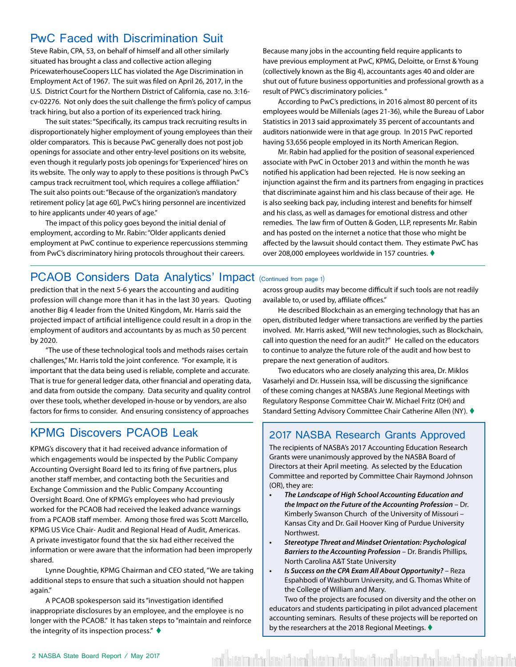#### <span id="page-1-0"></span>PwC Faced with Discrimination Suit

Steve Rabin, CPA, 53, on behalf of himself and all other similarly situated has brought a class and collective action alleging PricewaterhouseCoopers LLC has violated the Age Discrimination in Employment Act of 1967. The suit was filed on April 26, 2017, in the U.S. District Court for the Northern District of California, case no. 3:16 cv-02276. Not only does the suit challenge the firm's policy of campus track hiring, but also a portion of its experienced track hiring.

The suit states: "Specifically, its campus track recruiting results in disproportionately higher employment of young employees than their older comparators. This is because PwC generally does not post job openings for associate and other entry-level positions on its website, even though it regularly posts job openings for 'Experienced' hires on its website. The only way to apply to these positions is through PwC's campus track recruitment tool, which requires a college affiliation." The suit also points out: "Because of the organization's mandatory retirement policy [at age 60], PwC's hiring personnel are incentivized to hire applicants under 40 years of age."

The impact of this policy goes beyond the initial denial of employment, according to Mr. Rabin: "Older applicants denied employment at PwC continue to experience repercussions stemming from PwC's discriminatory hiring protocols throughout their careers.

Because many jobs in the accounting field require applicants to have previous employment at PwC, KPMG, Deloitte, or Ernst & Young (collectively known as the Big 4), accountants ages 40 and older are shut out of future business opportunities and professional growth as a result of PWC's discriminatory policies. "

According to PwC's predictions, in 2016 almost 80 percent of its employees would be Millenials (ages 21-36), while the Bureau of Labor Statistics in 2013 said approximately 35 percent of accountants and auditors nationwide were in that age group. In 2015 PwC reported having 53,656 people employed in its North American Region.

Mr. Rabin had applied for the position of seasonal experienced associate with PwC in October 2013 and within the month he was notified his application had been rejected. He is now seeking an injunction against the firm and its partners from engaging in practices that discriminate against him and his class because of their age. He is also seeking back pay, including interest and benefits for himself and his class, as well as damages for emotional distress and other remedies. The law firm of Outten & Goden, LLP, represents Mr. Rabin and has posted on the internet a notice that those who might be affected by the lawsuit should contact them. They estimate PwC has over 208,000 employees worldwide in 157 countries.

#### PCAOB Considers Data Analytics' Impact (Continued from page 1)

prediction that in the next 5-6 years the accounting and auditing profession will change more than it has in the last 30 years. Quoting another Big 4 leader from the United Kingdom, Mr. Harris said the projected impact of artificial intelligence could result in a drop in the employment of auditors and accountants by as much as 50 percent by 2020.

"The use of these technological tools and methods raises certain challenges," Mr. Harris told the joint conference. "For example, it is important that the data being used is reliable, complete and accurate. That is true for general ledger data, other financial and operating data, and data from outside the company. Data security and quality control over these tools, whether developed in-house or by vendors, are also factors for firms to consider. And ensuring consistency of approaches

#### KPMG Discovers PCAOB Leak

KPMG's discovery that it had received advance information of which engagements would be inspected by the Public Company Accounting Oversight Board led to its firing of five partners, plus another staff member, and contacting both the Securities and Exchange Commission and the Public Company Accounting Oversight Board. One of KPMG's employees who had previously worked for the PCAOB had received the leaked advance warnings from a PCAOB staff member. Among those fired was Scott Marcello, KPMG US Vice Chair- Audit and Regional Head of Audit, Americas. A private investigator found that the six had either received the information or were aware that the information had been improperly shared.

Lynne Doughtie, KPMG Chairman and CEO stated, "We are taking additional steps to ensure that such a situation should not happen again."

A PCAOB spokesperson said its "investigation identified inappropriate disclosures by an employee, and the employee is no longer with the PCAOB." It has taken steps to "maintain and reinforce the integrity of its inspection process."  $\blacklozenge$ 

across group audits may become difficult if such tools are not readily available to, or used by, affiliate offices."

He described Blockchain as an emerging technology that has an open, distributed ledger where transactions are verified by the parties involved. Mr. Harris asked, "Will new technologies, such as Blockchain, call into question the need for an audit?" He called on the educators to continue to analyze the future role of the audit and how best to prepare the next generation of auditors.

Two educators who are closely analyzing this area, Dr. Miklos Vasarhelyi and Dr. Hussein Issa, will be discussing the significance of these coming changes at NASBA's June Regional Meetings with Regulatory Response Committee Chair W. Michael Fritz (OH) and Standard Setting Advisory Committee Chair Catherine Allen (NY). ♦

#### 2017 NASBA Research Grants Approved

The recipients of NASBA's 2017 Accounting Education Research Grants were unanimously approved by the NASBA Board of Directors at their April meeting. As selected by the Education Committee and reported by Committee Chair Raymond Johnson (OR), they are:

- *• The Landscape of High School Accounting Education and the Impact on the Future of the Accounting Profession* – Dr. Kimberly Swanson Church of the University of Missouri – Kansas City and Dr. Gail Hoover King of Purdue University Northwest.
- *• Stereotype Threat and Mindset Orientation: Psychological Barriers to the Accounting Profession* – Dr. Brandis Phillips, North Carolina A&T State University
- *• Is Success on the CPA Exam All About Opportunity?* Reza Espahbodi of Washburn University, and G. Thomas White of the College of William and Mary.

Two of the projects are focused on diversity and the other on educators and students participating in pilot advanced placement accounting seminars. Results of these projects will be reported on by the researchers at the 2018 Regional Meetings.  $\blacklozenge$ 

kütə barkar küzdü üradi kütəbə vlar küzdü üradi bütəbə vlar küzdü üradi kütəbə vla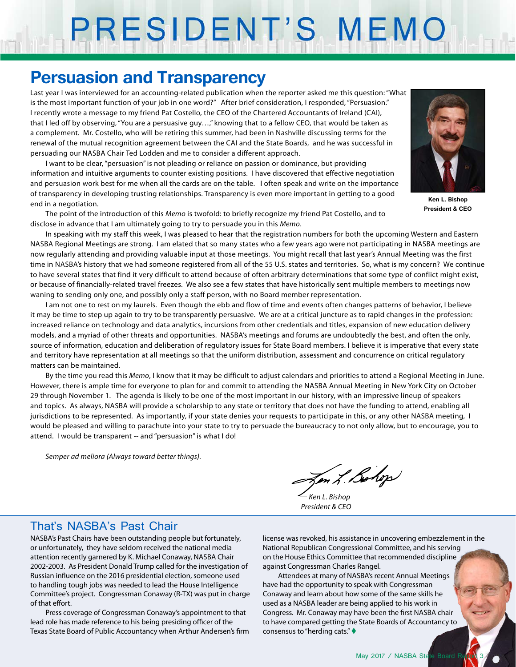# <span id="page-2-0"></span>PRESIDENT'S MEMO

### **Persuasion and Transparency**

Last year I was interviewed for an accounting-related publication when the reporter asked me this question: "What is the most important function of your job in one word?" After brief consideration, I responded, "Persuasion." I recently wrote a message to my friend Pat Costello, the CEO of the Chartered Accountants of Ireland (CAI), that I led off by observing, "You are a persuasive guy…," knowing that to a fellow CEO, that would be taken as a complement. Mr. Costello, who will be retiring this summer, had been in Nashville discussing terms for the renewal of the mutual recognition agreement between the CAI and the State Boards, and he was successful in persuading our NASBA Chair Ted Lodden and me to consider a different approach.

I want to be clear, "persuasion" is not pleading or reliance on passion or dominance, but providing information and intuitive arguments to counter existing positions. I have discovered that effective negotiation and persuasion work best for me when all the cards are on the table. I often speak and write on the importance of transparency in developing trusting relationships. Transparency is even more important in getting to a good end in a negotiation.



**Ken L. Bishop President & CEO**

The point of the introduction of this *Memo* is twofold: to briefly recognize my friend Pat Costello, and to disclose in advance that I am ultimately going to try to persuade you in this *Memo*.

In speaking with my staff this week, I was pleased to hear that the registration numbers for both the upcoming Western and Eastern NASBA Regional Meetings are strong. I am elated that so many states who a few years ago were not participating in NASBA meetings are now regularly attending and providing valuable input at those meetings. You might recall that last year's Annual Meeting was the first time in NASBA's history that we had someone registered from all of the 55 U.S. states and territories. So, what is my concern? We continue to have several states that find it very difficult to attend because of often arbitrary determinations that some type of conflict might exist, or because of financially-related travel freezes. We also see a few states that have historically sent multiple members to meetings now waning to sending only one, and possibly only a staff person, with no Board member representation.

I am not one to rest on my laurels. Even though the ebb and flow of time and events often changes patterns of behavior, I believe it may be time to step up again to try to be transparently persuasive. We are at a critical juncture as to rapid changes in the profession: increased reliance on technology and data analytics, incursions from other credentials and titles, expansion of new education delivery models, and a myriad of other threats and opportunities. NASBA's meetings and forums are undoubtedly the best, and often the only, source of information, education and deliberation of regulatory issues for State Board members. I believe it is imperative that every state and territory have representation at all meetings so that the uniform distribution, assessment and concurrence on critical regulatory matters can be maintained.

By the time you read this *Memo*, I know that it may be difficult to adjust calendars and priorities to attend a Regional Meeting in June. However, there is ample time for everyone to plan for and commit to attending the NASBA Annual Meeting in New York City on October 29 through November 1. The agenda is likely to be one of the most important in our history, with an impressive lineup of speakers and topics. As always, NASBA will provide a scholarship to any state or territory that does not have the funding to attend, enabling all jurisdictions to be represented. As importantly, if your state denies your requests to participate in this, or any other NASBA meeting, I would be pleased and willing to parachute into your state to try to persuade the bureaucracy to not only allow, but to encourage, you to attend. I would be transparent -- and "persuasion" is what I do!

*Semper ad meliora (Always toward better things).*

Jen L Bohop

*— Ken L. Bishop President & CEO*

#### That's NASBA's Past Chair

NASBA's Past Chairs have been outstanding people but fortunately, or unfortunately, they have seldom received the national media attention recently garnered by K. Michael Conaway, NASBA Chair 2002-2003. As President Donald Trump called for the investigation of Russian influence on the 2016 presidential election, someone used to handling tough jobs was needed to lead the House Intelligence Committee's project. Congressman Conaway (R-TX) was put in charge of that effort.

Press coverage of Congressman Conaway's appointment to that lead role has made reference to his being presiding officer of the Texas State Board of Public Accountancy when Arthur Andersen's firm license was revoked, his assistance in uncovering embezzlement in the National Republican Congressional Committee, and his serving on the House Ethics Committee that recommended discipline against Congressman Charles Rangel.

Attendees at many of NASBA's recent Annual Meetings have had the opportunity to speak with Congressman Conaway and learn about how some of the same skills he used as a NASBA leader are being applied to his work in Congress. Mr. Conaway may have been the first NASBA chair to have compared getting the State Boards of Accountancy to consensus to "herding cats."  $\blacklozenge$